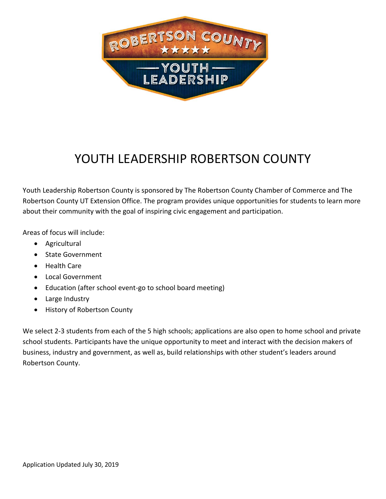

## YOUTH LEADERSHIP ROBERTSON COUNTY

Youth Leadership Robertson County is sponsored by The Robertson County Chamber of Commerce and The Robertson County UT Extension Office. The program provides unique opportunities for students to learn more about their community with the goal of inspiring civic engagement and participation.

Areas of focus will include:

- Agricultural
- State Government
- Health Care
- Local Government
- Education (after school event-go to school board meeting)
- Large Industry
- History of Robertson County

We select 2-3 students from each of the 5 high schools; applications are also open to home school and private school students. Participants have the unique opportunity to meet and interact with the decision makers of business, industry and government, as well as, build relationships with other student's leaders around Robertson County.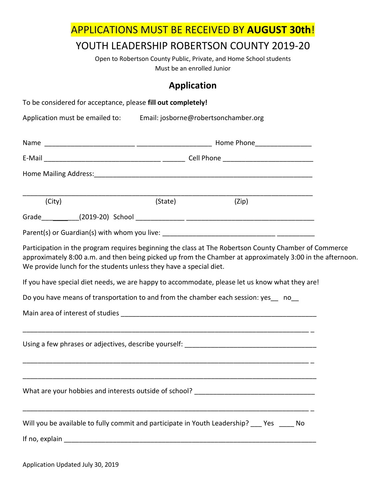APPLICATIONS MUST BE RECEIVED BY **AUGUST 30th**!

## YOUTH LEADERSHIP ROBERTSON COUNTY 2019-20

Open to Robertson County Public, Private, and Home School students Must be an enrolled Junior

## **Application**

| To be considered for acceptance, please fill out completely!                                                                                                                                                                                                                                                                                                                                                                                                                        |         |       |  |
|-------------------------------------------------------------------------------------------------------------------------------------------------------------------------------------------------------------------------------------------------------------------------------------------------------------------------------------------------------------------------------------------------------------------------------------------------------------------------------------|---------|-------|--|
| Application must be emailed to: Email: josborne@robertsonchamber.org                                                                                                                                                                                                                                                                                                                                                                                                                |         |       |  |
|                                                                                                                                                                                                                                                                                                                                                                                                                                                                                     |         |       |  |
|                                                                                                                                                                                                                                                                                                                                                                                                                                                                                     |         |       |  |
|                                                                                                                                                                                                                                                                                                                                                                                                                                                                                     |         |       |  |
| (City)                                                                                                                                                                                                                                                                                                                                                                                                                                                                              | (State) | (Zip) |  |
|                                                                                                                                                                                                                                                                                                                                                                                                                                                                                     |         |       |  |
|                                                                                                                                                                                                                                                                                                                                                                                                                                                                                     |         |       |  |
| Participation in the program requires beginning the class at The Robertson County Chamber of Commerce<br>approximately 8:00 a.m. and then being picked up from the Chamber at approximately 3:00 in the afternoon.<br>We provide lunch for the students unless they have a special diet.<br>If you have special diet needs, we are happy to accommodate, please let us know what they are!<br>Do you have means of transportation to and from the chamber each session: yes __ no__ |         |       |  |
|                                                                                                                                                                                                                                                                                                                                                                                                                                                                                     |         |       |  |
|                                                                                                                                                                                                                                                                                                                                                                                                                                                                                     |         |       |  |
| Will you be available to fully commit and participate in Youth Leadership? __ Yes ___ No                                                                                                                                                                                                                                                                                                                                                                                            |         |       |  |

Application Updated July 30, 2019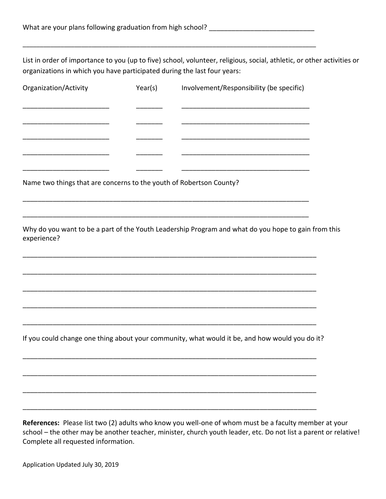List in order of importance to you (up to five) school, volunteer, religious, social, athletic, or other activities or organizations in which you have participated during the last four years:

\_\_\_\_\_\_\_\_\_\_\_\_\_\_\_\_\_\_\_\_\_\_\_\_\_\_\_\_\_\_\_\_\_\_\_\_\_\_\_\_\_\_\_\_\_\_\_\_\_\_\_\_\_\_\_\_\_\_\_\_\_\_\_\_\_\_\_\_\_\_\_\_\_\_\_\_\_\_\_\_\_\_\_\_\_

|                                                                     | Year(s) | Involvement/Responsibility (be specific)                                                                              |
|---------------------------------------------------------------------|---------|-----------------------------------------------------------------------------------------------------------------------|
|                                                                     |         |                                                                                                                       |
|                                                                     |         |                                                                                                                       |
|                                                                     |         |                                                                                                                       |
|                                                                     |         | <u> 1989 - Johann Barbara, martxa alemaniar argumento estas políticas en la contrada de la contrada de la contrad</u> |
|                                                                     |         |                                                                                                                       |
| Name two things that are concerns to the youth of Robertson County? |         |                                                                                                                       |
|                                                                     |         |                                                                                                                       |
| experience?                                                         |         | Why do you want to be a part of the Youth Leadership Program and what do you hope to gain from this                   |
|                                                                     |         |                                                                                                                       |
|                                                                     |         |                                                                                                                       |
|                                                                     |         |                                                                                                                       |
|                                                                     |         |                                                                                                                       |
|                                                                     |         | If you could change one thing about your community, what would it be, and how would you do it?                        |
|                                                                     |         |                                                                                                                       |
|                                                                     |         |                                                                                                                       |
|                                                                     |         |                                                                                                                       |
|                                                                     |         |                                                                                                                       |

school – the other may be another teacher, minister, church youth leader, etc. Do not list a parent or relative! Complete all requested information.